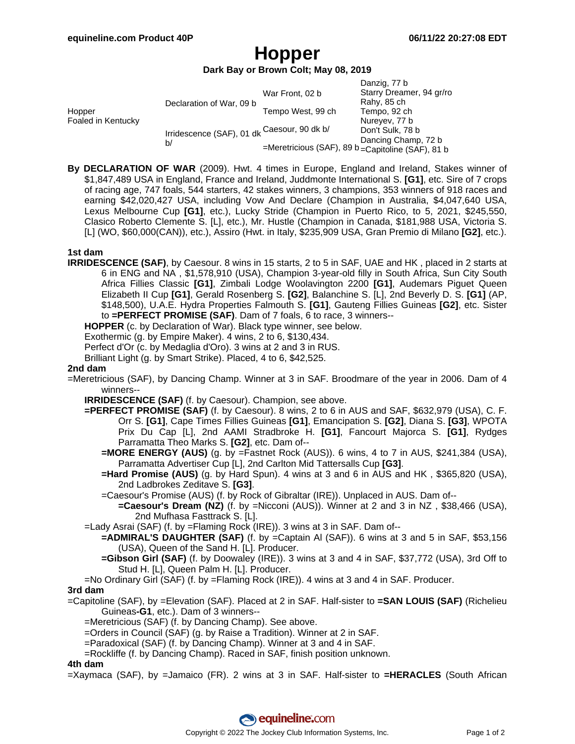# **Hopper**

## **Dark Bay or Brown Colt; May 08, 2019**

|                              |                                                   |                                                    | Danzig, 77 b             |
|------------------------------|---------------------------------------------------|----------------------------------------------------|--------------------------|
| Hopper<br>Foaled in Kentucky | Declaration of War, 09 b                          | War Front, 02 b                                    | Starry Dreamer, 94 gr/ro |
|                              |                                                   |                                                    | Rahy, 85 ch              |
|                              |                                                   | Tempo West, 99 ch                                  | Tempo, 92 ch             |
|                              | Irridescence (SAF), 01 dk Caesour, 90 dk b/<br>b/ |                                                    | Nureyev, 77 b            |
|                              |                                                   |                                                    | Don't Sulk, 78 b         |
|                              |                                                   |                                                    | Dancing Champ, 72 b      |
|                              |                                                   | =Meretricious (SAF), 89 b = Capitoline (SAF), 81 b |                          |

**By DECLARATION OF WAR** (2009). Hwt. 4 times in Europe, England and Ireland, Stakes winner of \$1,847,489 USA in England, France and Ireland, Juddmonte International S. **[G1]**, etc. Sire of 7 crops of racing age, 747 foals, 544 starters, 42 stakes winners, 3 champions, 353 winners of 918 races and earning \$42,020,427 USA, including Vow And Declare (Champion in Australia, \$4,047,640 USA, Lexus Melbourne Cup **[G1]**, etc.), Lucky Stride (Champion in Puerto Rico, to 5, 2021, \$245,550, Clasico Roberto Clemente S. [L], etc.), Mr. Hustle (Champion in Canada, \$181,988 USA, Victoria S. [L] (WO, \$60,000(CAN)), etc.), Assiro (Hwt. in Italy, \$235,909 USA, Gran Premio di Milano **[G2]**, etc.).

### **1st dam**

**IRRIDESCENCE (SAF)**, by Caesour. 8 wins in 15 starts, 2 to 5 in SAF, UAE and HK , placed in 2 starts at 6 in ENG and NA , \$1,578,910 (USA), Champion 3-year-old filly in South Africa, Sun City South Africa Fillies Classic **[G1]**, Zimbali Lodge Woolavington 2200 **[G1]**, Audemars Piguet Queen Elizabeth II Cup **[G1]**, Gerald Rosenberg S. **[G2]**, Balanchine S. [L], 2nd Beverly D. S. **[G1]** (AP, \$148,500), U.A.E. Hydra Properties Falmouth S. **[G1]**, Gauteng Fillies Guineas **[G2]**, etc. Sister to **=PERFECT PROMISE (SAF)**. Dam of 7 foals, 6 to race, 3 winners--

**HOPPER** (c. by Declaration of War). Black type winner, see below.

Exothermic (g. by Empire Maker). 4 wins, 2 to 6, \$130,434.

Perfect d'Or (c. by Medaglia d'Oro). 3 wins at 2 and 3 in RUS.

Brilliant Light (g. by Smart Strike). Placed, 4 to 6, \$42,525.

### **2nd dam**

- =Meretricious (SAF), by Dancing Champ. Winner at 3 in SAF. Broodmare of the year in 2006. Dam of 4 winners--
	- **IRRIDESCENCE (SAF)** (f. by Caesour). Champion, see above.
	- **=PERFECT PROMISE (SAF)** (f. by Caesour). 8 wins, 2 to 6 in AUS and SAF, \$632,979 (USA), C. F. Orr S. **[G1]**, Cape Times Fillies Guineas **[G1]**, Emancipation S. **[G2]**, Diana S. **[G3]**, WPOTA Prix Du Cap [L], 2nd AAMI Stradbroke H. **[G1]**, Fancourt Majorca S. **[G1]**, Rydges Parramatta Theo Marks S. **[G2]**, etc. Dam of--
		- **=MORE ENERGY (AUS)** (g. by =Fastnet Rock (AUS)). 6 wins, 4 to 7 in AUS, \$241,384 (USA), Parramatta Advertiser Cup [L], 2nd Carlton Mid Tattersalls Cup **[G3]**.
		- **=Hard Promise (AUS)** (g. by Hard Spun). 4 wins at 3 and 6 in AUS and HK , \$365,820 (USA), 2nd Ladbrokes Zeditave S. **[G3]**.
		- =Caesour's Promise (AUS) (f. by Rock of Gibraltar (IRE)). Unplaced in AUS. Dam of--
			- **=Caesour's Dream (NZ)** (f. by =Nicconi (AUS)). Winner at 2 and 3 in NZ , \$38,466 (USA), 2nd Mufhasa Fasttrack S. [L].
	- =Lady Asrai (SAF) (f. by =Flaming Rock (IRE)). 3 wins at 3 in SAF. Dam of--
		- **=ADMIRAL'S DAUGHTER (SAF)** (f. by =Captain Al (SAF)). 6 wins at 3 and 5 in SAF, \$53,156 (USA), Queen of the Sand H. [L]. Producer.
		- **=Gibson Girl (SAF)** (f. by Doowaley (IRE)). 3 wins at 3 and 4 in SAF, \$37,772 (USA), 3rd Off to Stud H. [L], Queen Palm H. [L]. Producer.
	- =No Ordinary Girl (SAF) (f. by =Flaming Rock (IRE)). 4 wins at 3 and 4 in SAF. Producer.

#### **3rd dam**

- =Capitoline (SAF), by =Elevation (SAF). Placed at 2 in SAF. Half-sister to **=SAN LOUIS (SAF)** (Richelieu Guineas**-G1**, etc.). Dam of 3 winners--
	- =Meretricious (SAF) (f. by Dancing Champ). See above.
	- =Orders in Council (SAF) (g. by Raise a Tradition). Winner at 2 in SAF.
	- =Paradoxical (SAF) (f. by Dancing Champ). Winner at 3 and 4 in SAF.
	- =Rockliffe (f. by Dancing Champ). Raced in SAF, finish position unknown.

#### **4th dam**

=Xaymaca (SAF), by =Jamaico (FR). 2 wins at 3 in SAF. Half-sister to **=HERACLES** (South African